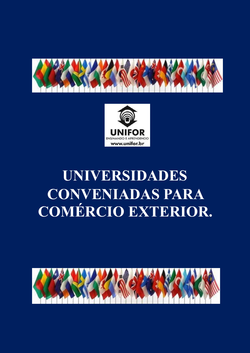



# **UNIVERSIDADES CONVENIADAS PARA COMÉRCIO EXTERIOR.**

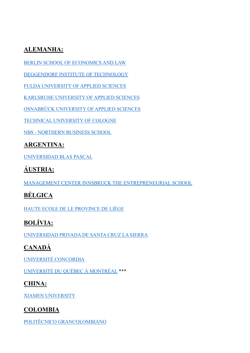#### **ALEMANHA:**

BERLIN SCHOOL OF ECONOMICS AND LAW

DEGGENDORF INSTITUTE OF TECHNOLOGY

FULDA UNIVERSITY OF APPLIED SCIENCES

KARLSRUHE UNIVERSITY OF APPLIED SCIENCES

OSNABRÜCK UNIVERSITY OF APPLIED SCIENCES

TECHNICAL UNIVERSITY OF COLOGNE

NBS - NORTHERN BUSINESS SCHOOL

#### **ARGENTINA:**

UNIVERSIDAD BLAS PASCAL

# ÁUSTRIA:

MANAGEMENT CENTER INNSBRUCK THE ENTREPRENEURIAL SCHOOL

### **BÉLGICA**

HAUTE ECOLE DE LE PROVINCE DE LIÈGE

# **BOLÍVIA:**

UNIVERSIDAD PRIVADA DE SANTA CRUZ LA SIERRA

### **CANADÁ**

UNIVERSITÉ CONCORDIA

UNIVERSITÉ DU QUÉBEC À MONTRÉAL \*\*\*

#### **CHINA:**

**XIAMEN UNIVERSITY** 

#### **COLOMBIA**

POLITÉCNICO GRANCOLOMBIANO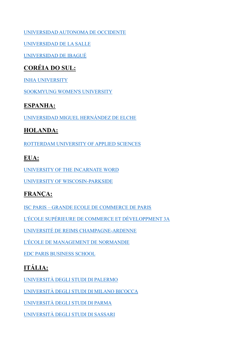#### [UNIVERSIDAD AUTONOMA DE OCCIDENTE](https://sitios.uao.edu.co/admisiones/mercadeo-y-negocios-internacionales/)

[UNIVERSIDAD DE LA SALLE](https://www.lasalle.edu.co/finanzas-comercio-internacional)

[UNIVERSIDAD DE IBAGUÉ](http://negociosinternacionales.unibague.edu.co/)

#### **CORÉIA DO SUL:**

INHA [UNIVERSITY](http://www.inha.ac.kr/mbshome/mbs/eng/subview.do?id=eng_020101000000)

[SOOKMYUNG WOMEN'S UNIVERSITY](http://www.sookmyung.ac.kr/sookmyungen/1848/subview.do)

#### **ESPANHA:**

[UNIVERSIDAD MIGUEL HERNÁNDEZ DE ELCHE](https://www.umh.es/contenido/Visitantes/:Grado/datos_es.html)

#### **HOLANDA:**

[ROTTERDAM UNIVERSITY OF APPLIED SCIENCES](https://www.rotterdamuas.com/programmes/exchange/)

#### **EUA:**

[UNIVERSITY OF THE INCARNATE WORD](https://www.uiw.edu/hebsba/bachelor-of-business/international-business.html)

[UNIVERSITY OF WISCOSIN-PARKSIDE](https://www.uwp.edu/learn/programs/globalmanagementminor.cfm)

#### **FRANÇA:**

ISC PARIS – [GRANDE ECOLE DE COMMERCE DE PARIS](https://international.iscparis.com/bachelor/the-3-year-program/)

[L'ÉCOLE SUPÉRIEURE DE COMMERCE ET DÉVELOPPMENT 3A](http://www.ecole3a.edu/formation/bac-4-5-manager-de-projets-internationaux/)

[UNIVERSITÉ DE REIMS CHAMPAGNE-ARDENNE](https://www.univ-reims.fr/)

[L'ÉCOLE DE MANAGEMENT DE NORMANDIE](https://em-normandie.com/fr/bachelor-en-management-international)

[EDC PARIS BUSINESS SCHOOL](https://www.edcparis.edu/en/programs/grande-ecole-programs)

# **ITÁLIA:**

[UNIVERSITÀ DEGLI STUDI DI PALERMO](http://internationalstudents.unipa.it/target/international-students/en/educational-offer---activities/new-page/)

[UNIVERSITÀ DEGLI STUDI DI MILANO BICOCCA](https://www.unimib.it/unimib-international/bachelor-and-masters/international-economics)

[UNIVERSITÀ DEGLI STUDI DI PARMA](https://en.unipr.it/ugov/degree/5067)

[UNIVERSITÀ DEGLI STUDI DI SASSARI](https://www.uniss.it/)